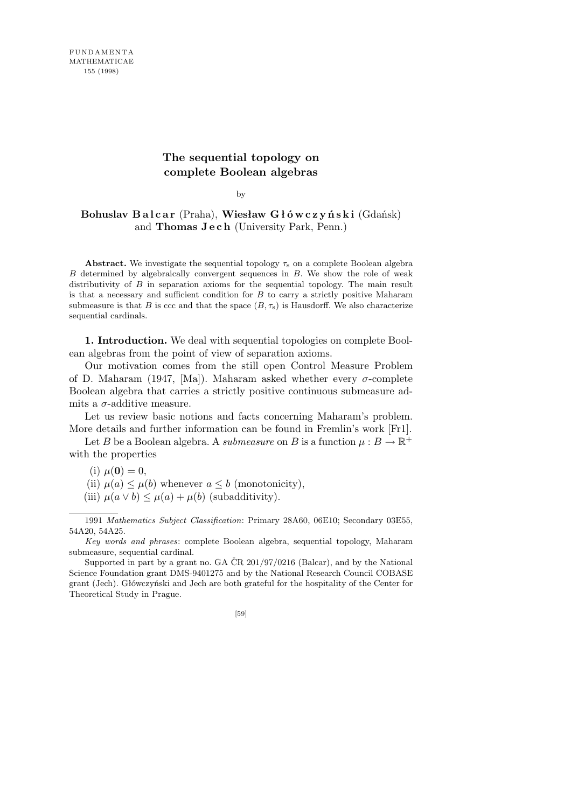## **The sequential topology on complete Boolean algebras**

by

**Bohuslav B a l c a r** (Praha), **Wiesław G ł ó w c z y ń s k i** (Gdańsk) and **Thomas J e c h** (University Park, Penn.)

**Abstract.** We investigate the sequential topology  $\tau_s$  on a complete Boolean algebra *B* determined by algebraically convergent sequences in *B*. We show the role of weak distributivity of *B* in separation axioms for the sequential topology. The main result is that a necessary and sufficient condition for *B* to carry a strictly positive Maharam submeasure is that *B* is ccc and that the space  $(B, \tau_s)$  is Hausdorff. We also characterize sequential cardinals.

**1. Introduction.** We deal with sequential topologies on complete Boolean algebras from the point of view of separation axioms.

Our motivation comes from the still open Control Measure Problem of D. Maharam (1947, [Ma]). Maharam asked whether every *σ*-complete Boolean algebra that carries a strictly positive continuous submeasure admits a  $\sigma$ -additive measure.

Let us review basic notions and facts concerning Maharam's problem. More details and further information can be found in Fremlin's work [Fr1].

Let *B* be a Boolean algebra. A *submeasure* on *B* is a function  $\mu : B \to \mathbb{R}^+$ with the properties

(i)  $\mu(\mathbf{0}) = 0$ ,

(ii)  $\mu(a) \leq \mu(b)$  whenever  $a \leq b$  (monotonicity),

(iii)  $\mu(a \vee b) \leq \mu(a) + \mu(b)$  (subadditivity).

<sup>1991</sup> *Mathematics Subject Classification*: Primary 28A60, 06E10; Secondary 03E55, 54A20, 54A25.

*Key words and phrases*: complete Boolean algebra, sequential topology, Maharam submeasure, sequential cardinal.

Supported in part by a grant no. GA  $\text{\r{CR}}$  201/97/0216 (Balcar), and by the National Science Foundation grant DMS-9401275 and by the National Research Council COBASE grant (Jech). Główczyński and Jech are both grateful for the hospitality of the Center for Theoretical Study in Prague.

<sup>[59]</sup>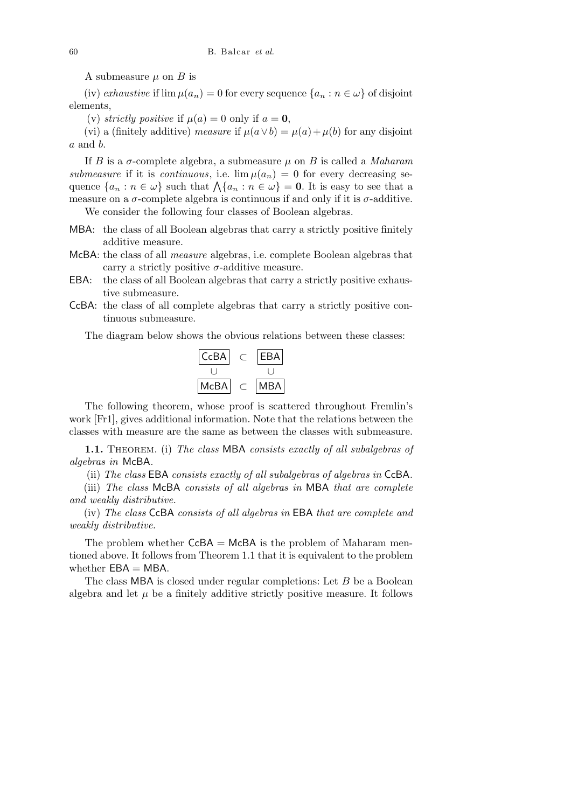A submeasure  $\mu$  on  $B$  is

(iv) *exhaustive* if  $\lim \mu(a_n) = 0$  for every sequence  $\{a_n : n \in \omega\}$  of disjoint elements,

(v) *strictly positive* if  $\mu(a) = 0$  only if  $a = 0$ ,

(vi) a (finitely additive) *measure* if  $\mu(a \vee b) = \mu(a) + \mu(b)$  for any disjoint *a* and *b*.

If *B* is a  $\sigma$ -complete algebra, a submeasure  $\mu$  on *B* is called a *Maharam submeasure* if it is *continuous*, i.e.  $\lim \mu(a_n) = 0$  for every decreasing sesubmeasure in it is continuous, i.e.  $\lim \mu(a_n) = 0$  for every decreasing sequence  $\{a_n : n \in \omega\}$  such that  $\Lambda\{a_n : n \in \omega\} = 0$ . It is easy to see that a measure on a  $\sigma$ -complete algebra is continuous if and only if it is  $\sigma$ -additive. We consider the following four classes of Boolean algebras.

MBA: the class of all Boolean algebras that carry a strictly positive finitely additive measure.

- McBA: the class of all *measure* algebras, i.e. complete Boolean algebras that carry a strictly positive  $\sigma$ -additive measure.
- EBA: the class of all Boolean algebras that carry a strictly positive exhaustive submeasure.
- CcBA: the class of all complete algebras that carry a strictly positive continuous submeasure.

The diagram below shows the obvious relations between these classes:



The following theorem, whose proof is scattered throughout Fremlin's work [Fr1], gives additional information. Note that the relations between the classes with measure are the same as between the classes with submeasure.

**1.1.** Theorem. (i) *The class* MBA *consists exactly of all subalgebras of algebras in* McBA*.*

(ii) *The class* EBA *consists exactly of all subalgebras of algebras in* CcBA*.*

(iii) *The class* McBA *consists of all algebras in* MBA *that are complete and weakly distributive.*

(iv) *The class* CcBA *consists of all algebras in* EBA *that are complete and weakly distributive.*

The problem whether  $CcBA = McBA$  is the problem of Maharam mentioned above. It follows from Theorem 1.1 that it is equivalent to the problem whether  $EBA = MBA$ .

The class MBA is closed under regular completions: Let *B* be a Boolean algebra and let  $\mu$  be a finitely additive strictly positive measure. It follows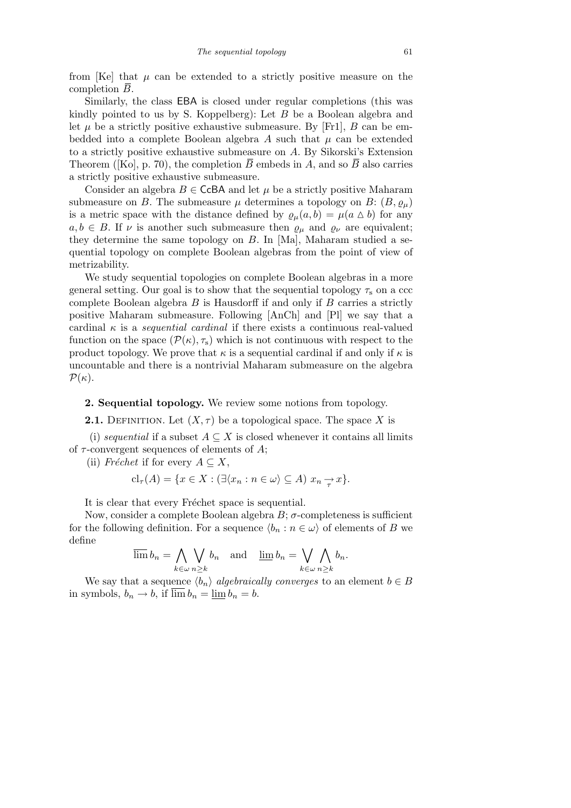from  $[Ke]$  that  $\mu$  can be extended to a strictly positive measure on the completion *B*.

Similarly, the class EBA is closed under regular completions (this was kindly pointed to us by S. Koppelberg): Let *B* be a Boolean algebra and let  $\mu$  be a strictly positive exhaustive submeasure. By [Fr1],  $B$  can be embedded into a complete Boolean algebra A such that  $\mu$  can be extended to a strictly positive exhaustive submeasure on *A*. By Sikorski's Extension Theorem ([Ko], p. 70), the completion  $\overline{B}$  embeds in *A*, and so  $\overline{B}$  also carries a strictly positive exhaustive submeasure.

Consider an algebra  $B \in \mathsf{CcBA}$  and let  $\mu$  be a strictly positive Maharam submeasure on *B*. The submeasure  $\mu$  determines a topology on *B*:  $(B, \varrho_{\mu})$ is a metric space with the distance defined by  $\varrho_\mu(a, b) = \mu(a \Delta b)$  for any  $a, b \in B$ . If *v* is another such submeasure then  $\rho_{\mu}$  and  $\rho_{\nu}$  are equivalent; they determine the same topology on *B*. In [Ma], Maharam studied a sequential topology on complete Boolean algebras from the point of view of metrizability.

We study sequential topologies on complete Boolean algebras in a more general setting. Our goal is to show that the sequential topology  $\tau_s$  on a ccc complete Boolean algebra *B* is Hausdorff if and only if *B* carries a strictly positive Maharam submeasure. Following [AnCh] and [Pl] we say that a cardinal *κ* is a *sequential cardinal* if there exists a continuous real-valued function on the space  $(\mathcal{P}(\kappa), \tau_s)$  which is not continuous with respect to the product topology. We prove that  $\kappa$  is a sequential cardinal if and only if  $\kappa$  is uncountable and there is a nontrivial Maharam submeasure on the algebra  $P(\kappa)$ .

**2. Sequential topology.** We review some notions from topology.

**2.1.** DEFINITION. Let  $(X, \tau)$  be a topological space. The space X is

(i) *sequential* if a subset  $A \subseteq X$  is closed whenever it contains all limits of *τ* -convergent sequences of elements of *A*;

(ii) *Fréchet* if for every  $A \subseteq X$ ,

$$
\mathrm{cl}_{\tau}(A) = \{ x \in X : (\exists \langle x_n : n \in \omega \rangle \subseteq A) \ x_n \to x \}.
$$

It is clear that every Fréchet space is sequential.

Now, consider a complete Boolean algebra  $B$ ;  $\sigma$ -completeness is sufficient for the following definition. For a sequence  $\langle b_n : n \in \omega \rangle$  of elements of *B* we define  $\mathbf{A}^{\dagger}$  $\ddot{\phantom{0}}$  $\ddot{\phantom{0}}$  $\mathbf{A}$ 

$$
\overline{\lim} b_n = \bigwedge_{k \in \omega} \bigvee_{n \geq k} b_n \quad \text{and} \quad \underline{\lim} b_n = \bigvee_{k \in \omega} \bigwedge_{n \geq k} b_n.
$$

We say that a sequence  $\langle b_n \rangle$  *algebraically converges* to an element  $b \in B$ in symbols,  $b_n \to b$ , if  $\overline{\lim} b_n = \underline{\lim} b_n = b$ .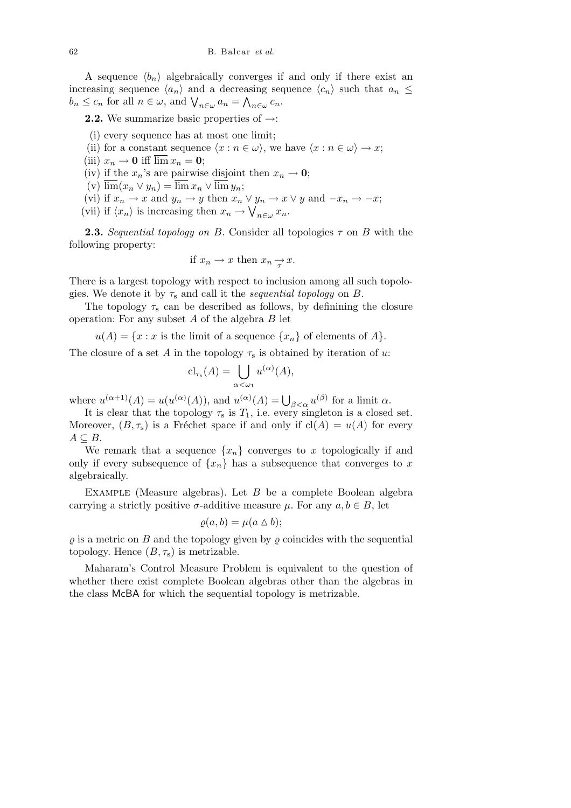A sequence  $\langle b_n \rangle$  algebraically converges if and only if there exist an increasing sequence  $\langle a_n \rangle$  and a decreasing sequence  $\langle c_n \rangle$  such that  $a_n \leq$  $b_n \leq c_n$  for all  $n \in \omega$ , and  $\bigvee_{n \in \omega} a_n = \bigwedge_{n \in \omega} c_n$ .

**2.2.** We summarize basic properties of *→*:

- (i) every sequence has at most one limit;
- (ii) for a constant sequence  $\langle x : n \in \omega \rangle$ , we have  $\langle x : n \in \omega \rangle \rightarrow x$ ;
- (iii)  $x_n \to 0$  iff  $\overline{\lim} x_n = 0$ ;
- (iv) if the  $x_n$ 's are pairwise disjoint then  $x_n \to 0$ ;
- $(v)$   $\overline{\lim}(x_n \vee y_n) = \overline{\lim} x_n \vee \overline{\lim} y_n;$

(vi) if  $x_n \to x$  and  $y_n \to y$  then  $x_n \vee y_n \to x \vee y$  and  $-x_n \to -x$ ;

(vii) if  $\langle x_n \rangle$  is increasing then  $x_n \to \bigvee_{n \in \omega} x_n$ .

**2.3.** *Sequential topology on B*. Consider all topologies  $\tau$  on *B* with the following property:

if 
$$
x_n \to x
$$
 then  $x_n \to x$ .

There is a largest topology with respect to inclusion among all such topologies. We denote it by  $\tau_s$  and call it the *sequential topology* on *B*.

The topology  $\tau_s$  can be described as follows, by definining the closure operation: For any subset *A* of the algebra *B* let

 $u(A) = \{x : x \text{ is the limit of a sequence } \{x_n\} \text{ of elements of } A\}.$ 

The closure of a set *A* in the topology  $\tau_s$  is obtained by iteration of *u*:

$$
\mathrm{cl}_{\tau_{\mathrm{s}}}(A) = \bigcup_{\alpha < \omega_1} u^{(\alpha)}(A),
$$

where  $u^{(\alpha+1)}(A) = u(u^{(\alpha)}(A))$ , and  $u^{(\alpha)}(A) = \bigcup_{\beta < \alpha} u^{(\beta)}$  for a limit  $\alpha$ .

It is clear that the topology  $\tau_s$  is  $T_1$ , i.e. every singleton is a closed set. Moreover,  $(B, \tau_s)$  is a Fréchet space if and only if  $cl(A) = u(A)$  for every  $A \subseteq B$ .

We remark that a sequence  $\{x_n\}$  converges to *x* topologically if and only if every subsequence of  $\{x_n\}$  has a subsequence that converges to *x* algebraically.

Example (Measure algebras). Let *B* be a complete Boolean algebra carrying a strictly positive  $\sigma$ -additive measure  $\mu$ . For any  $a, b \in B$ , let

$$
\varrho(a,b) = \mu(a \bigtriangleup b);
$$

 $\rho$  is a metric on *B* and the topology given by  $\rho$  coincides with the sequential topology. Hence  $(B, \tau_s)$  is metrizable.

Maharam's Control Measure Problem is equivalent to the question of whether there exist complete Boolean algebras other than the algebras in the class McBA for which the sequential topology is metrizable.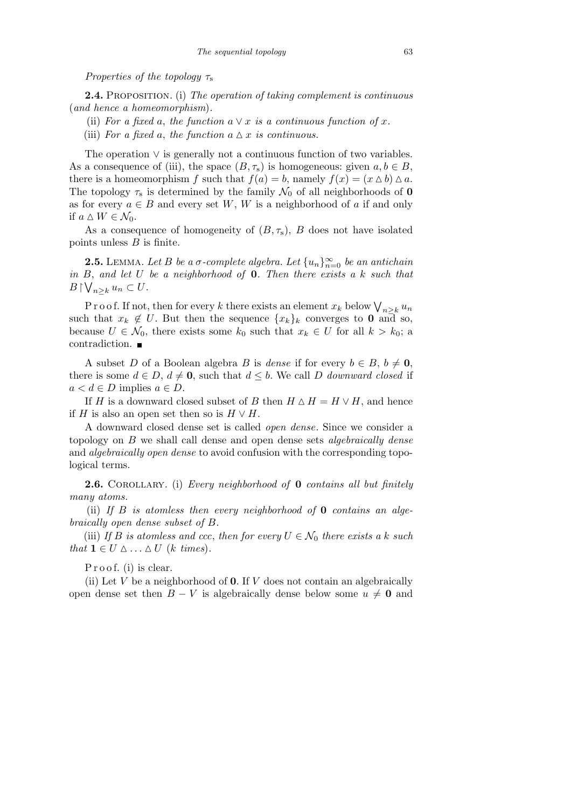*Properties of the topology τ*<sup>s</sup>

**2.4.** Proposition. (i) *The operation of taking complement is continuous* (*and hence a homeomorphism*)*.*

(ii) For a fixed a, the function  $a \vee x$  is a continuous function of x.

(iii) *For a fixed a, the function*  $a \Delta x$  *is continuous.* 

The operation *∨* is generally not a continuous function of two variables. As a consequence of (iii), the space  $(B, \tau_s)$  is homogeneous: given  $a, b \in B$ , there is a homeomorphism *f* such that  $f(a) = b$ , namely  $f(x) = (x \Delta b) \Delta a$ . The topology  $\tau_s$  is determined by the family  $\mathcal{N}_0$  of all neighborhoods of **0** as for every  $a \in B$  and every set *W*, *W* is a neighborhood of *a* if and only if  $a \Delta W \in \mathcal{N}_0$ .

As a consequence of homogeneity of  $(B, \tau_s)$ , *B* does not have isolated points unless *B* is finite.

**2.5.** LEMMA. Let *B be a σ-complete algebra. Let*  $\{u_n\}_{n=0}^{\infty}$  *be an antichain in B*, *and let U be a neighborhood of* **0***. Then there exists a k such that* W  $B \restriction \bigvee_{n \geq k} u_n \subset U$ .

Proof. If not, then for every *k* there exists an element  $x_k$  below  $\bigvee_{n \geq k} u_n$ such that  $x_k \notin U$ . But then the sequence  $\{x_k\}_k$  converges to **0** and so, because  $U \in \mathcal{N}_0$ , there exists some  $k_0$  such that  $x_k \in U$  for all  $k > k_0$ ; a contradiction.

A subset *D* of a Boolean algebra *B* is *dense* if for every  $b \in B$ ,  $b \neq 0$ , there is some  $d \in D$ ,  $d \neq 0$ , such that  $d \leq b$ . We call *D downward closed* if *a*  $\lt d$   $\in$  *D* implies *a*  $\in$  *D*.

If *H* is a downward closed subset of *B* then  $H \Delta H = H \vee H$ , and hence if *H* is also an open set then so is  $H \vee H$ .

A downward closed dense set is called *open dense*. Since we consider a topology on *B* we shall call dense and open dense sets *algebraically dense* and *algebraically open dense* to avoid confusion with the corresponding topological terms.

**2.6.** Corollary. (i) *Every neighborhood of* **0** *contains all but finitely many atoms.*

(ii) *If B is atomless then every neighborhood of* **0** *contains an algebraically open dense subset of B.*

(iii) *If B is atomless and ccc, then for every*  $U \in \mathcal{N}_0$  *there exists a k such that*  $\mathbf{1} \in U \triangle \dots \triangle U$  (*k times*).

P r o o f. (i) is clear.

(ii) Let *V* be a neighborhood of **0**. If *V* does not contain an algebraically open dense set then  $B - V$  is algebraically dense below some  $u \neq 0$  and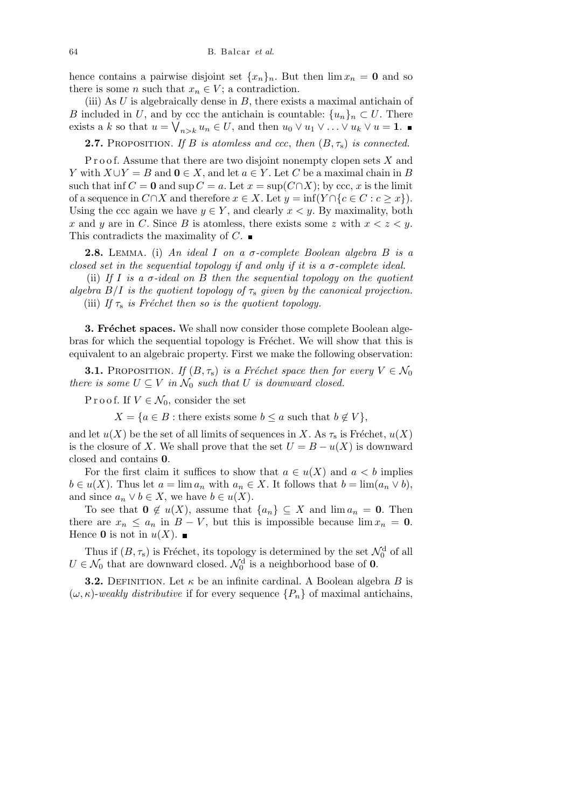hence contains a pairwise disjoint set  $\{x_n\}_n$ . But then  $\lim x_n = 0$  and so there is some *n* such that  $x_n \in V$ ; a contradiction.

(iii) As *U* is algebraically dense in *B*, there exists a maximal antichain of *B* included in *U*, and by ccc the antichain is countable:  $\{u_n\}_n \subset U$ . There exists a *k* so that  $u = \bigvee_{n>k} u_n \in U$ , and then  $u_0 \vee u_1 \vee \ldots \vee u_k \vee u = 1$ .

**2.7.** PROPOSITION. If *B is atomless and ccc*, *then*  $(B, \tau_s)$  *is connected.* 

Proof. Assume that there are two disjoint nonempty clopen sets X and *Y* with  $X \cup Y = B$  and  $0 \in X$ , and let  $a \in Y$ . Let *C* be a maximal chain in *B* such that inf  $C = 0$  and sup  $C = a$ . Let  $x = \sup(C \cap X)$ ; by ccc, x is the limit of a sequence in  $C \cap X$  and therefore  $x \in X$ . Let  $y = \inf(Y \cap \{c \in C : c > x\})$ . Using the ccc again we have  $y \in Y$ , and clearly  $x \leq y$ . By maximality, both *x* and *y* are in *C*. Since *B* is atomless, there exists some *z* with  $x < z < y$ . This contradicts the maximality of *C*.

**2.8.** Lemma. (i) *An ideal I on a σ-complete Boolean algebra B is a closed set in the sequential topology if and only if it is a σ-complete ideal.*

(ii) *If I is a σ-ideal on B then the sequential topology on the quotient algebra*  $B/I$  *is the quotient topology of*  $\tau_s$  *given by the canonical projection.* (iii) *If*  $\tau_s$  *is Fréchet then so is the quotient topology.* 

**3. Fréchet spaces.** We shall now consider those complete Boolean algebras for which the sequential topology is Fréchet. We will show that this is equivalent to an algebraic property. First we make the following observation:

**3.1.** PROPOSITION. *If*  $(B, \tau_s)$  *is a Fréchet space then for every*  $V \in \mathcal{N}_0$ *there is some*  $U \subseteq V$  *in*  $\mathcal{N}_0$  *such that*  $U$  *is downward closed.* 

P r o o f. If  $V \in \mathcal{N}_0$ , consider the set

 $X = \{a \in B : \text{there exists some } b \le a \text{ such that } b \notin V\},\$ 

and let  $u(X)$  be the set of all limits of sequences in *X*. As  $\tau_s$  is Fréchet,  $u(X)$ is the closure of *X*. We shall prove that the set  $U = B - u(X)$  is downward closed and contains **0**.

For the first claim it suffices to show that  $a \in u(X)$  and  $a < b$  implies  $b \in u(X)$ . Thus let  $a = \lim a_n$  with  $a_n \in X$ . It follows that  $b = \lim (a_n \vee b)$ , and since  $a_n \vee b \in X$ , we have  $b \in u(X)$ .

To see that  $\mathbf{0} \notin u(X)$ , assume that  $\{a_n\} \subseteq X$  and  $\lim a_n = \mathbf{0}$ . Then there are  $x_n \leq a_n$  in  $B - V$ , but this is impossible because  $\lim x_n = 0$ . Hence **0** is not in  $u(X)$ .

Thus if  $(B, \tau_s)$  is Fréchet, its topology is determined by the set  $\mathcal{N}_0^d$  of all  $U \in \mathcal{N}_0$  that are downward closed.  $\mathcal{N}_0^d$  is a neighborhood base of **0**.

**3.2.** DEFINITION. Let  $\kappa$  be an infinite cardinal. A Boolean algebra *B* is  $(\omega, \kappa)$ -weakly distributive if for every sequence  $\{P_n\}$  of maximal antichains,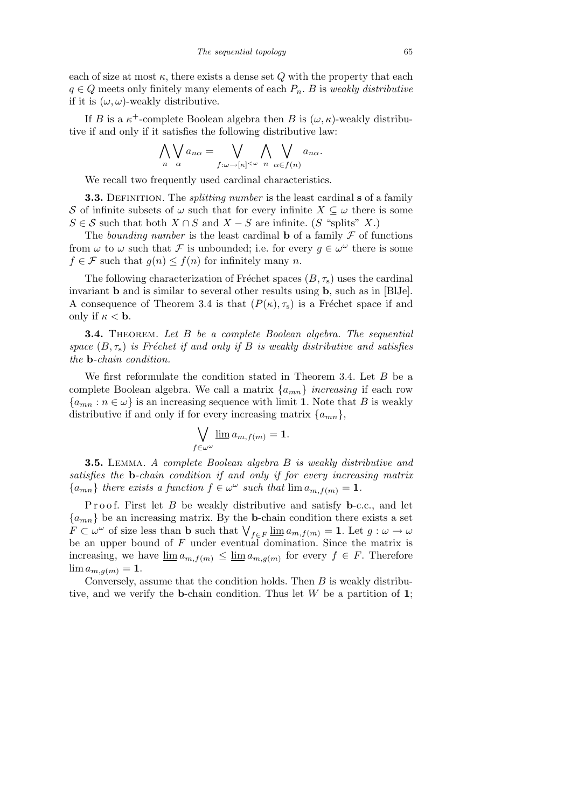each of size at most  $\kappa$ , there exists a dense set  $Q$  with the property that each  $q \in Q$  meets only finitely many elements of each  $P_n$ . *B* is *weakly distributive* if it is  $(\omega, \omega)$ -weakly distributive.

If *B* is a  $\kappa^+$ -complete Boolean algebra then *B* is  $(\omega, \kappa)$ -weakly distributive if and only if it satisfies the following distributive law:

$$
\bigwedge_n \bigvee_{\alpha} a_{n\alpha} = \bigvee_{f:\omega \to [\kappa]^{<\omega}} \bigwedge_{n} \bigvee_{\alpha \in f(n)} a_{n\alpha}.
$$

We recall two frequently used cardinal characteristics.

**3.3.** DEFINITION. The *splitting number* is the least cardinal **s** of a family *S* of infinite subsets of  $\omega$  such that for every infinite  $X \subseteq \omega$  there is some  $S \in \mathcal{S}$  such that both  $X \cap S$  and  $X - S$  are infinite. (*S* "splits" *X*.)

The *bounding number* is the least cardinal **b** of a family  $\mathcal F$  of functions from  $\omega$  to  $\omega$  such that F is unbounded; i.e. for every  $g \in \omega^{\omega}$  there is some  $f \in \mathcal{F}$  such that  $g(n) \leq f(n)$  for infinitely many *n*.

The following characterization of Fréchet spaces  $(B, \tau_s)$  uses the cardinal invariant **b** and is similar to several other results using **b**, such as in [BlJe]. A consequence of Theorem 3.4 is that  $(P(\kappa), \tau_s)$  is a Fréchet space if and only if  $\kappa < \mathbf{b}$ .

**3.4.** Theorem. *Let B be a complete Boolean algebra. The sequential space*  $(B, \tau_s)$  *is Fréchet if and only if B is weakly distributive and satisfies the* **b***-chain condition.*

We first reformulate the condition stated in Theorem 3.4. Let *B* be a complete Boolean algebra. We call a matrix  $\{a_{mn}\}\$ increasing if each row  ${a_{mn} : n \in \omega}$  is an increasing sequence with limit **1**. Note that *B* is weakly distributive if and only if for every increasing matrix  $\{a_{mn}\},\$ 

$$
\bigvee_{f\in\omega^{\omega}}\underline{\lim}\,a_{m,f(m)}=1.
$$

**3.5.** Lemma. *A complete Boolean algebra B is weakly distributive and satisfies the* **b***-chain condition if and only if for every increasing matrix*  ${a_{mn}}$  *there exists a function*  $f \in \omega^\omega$  *such that*  $\lim a_{m,f(m)} = 1$ *.* 

Proof. First let *B* be weakly distributive and satisfy **b**-c.c., and let  ${a_{mn}}$  be an increasing matrix. By the **b**-chain condition there exists a set *F*  $\subset \omega^{\omega}$  of size less than **b** such that  $\bigvee_{f \in F} \underline{\lim} a_{m,f(m)} = 1$ . Let  $g : \omega \to \omega$ be an upper bound of *F* under eventual domination. Since the matrix is increasing, we have  $\underline{\lim} a_{m,f(m)} \le \underline{\lim} a_{m,g(m)}$  for every  $f \in F$ . Therefore  $\lim a_{m,g(m)} = 1.$ 

Conversely, assume that the condition holds. Then *B* is weakly distributive, and we verify the **b**-chain condition. Thus let *W* be a partition of **1**;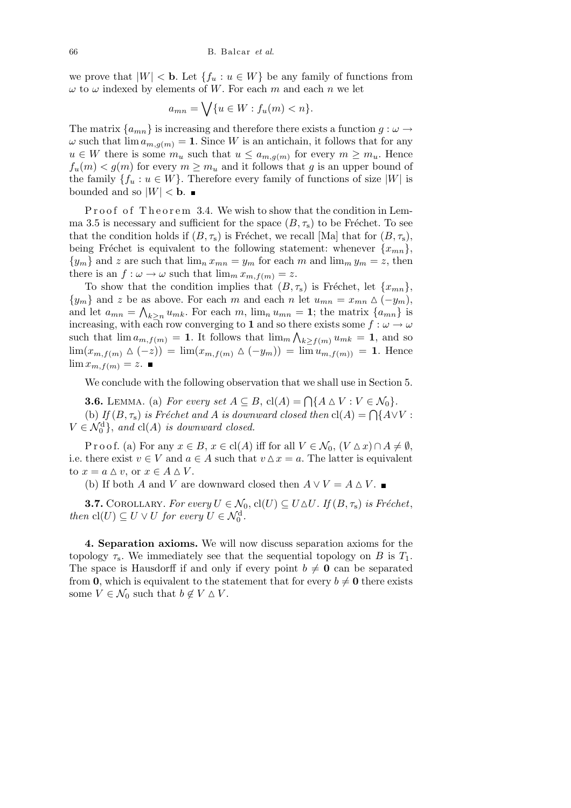we prove that  $|W| <$  **b**. Let  $\{f_u : u \in W\}$  be any family of functions from  $\omega$  to  $\omega$  indexed by elements of *W*. For each *m* and each *n* we let

$$
a_{mn} = \bigvee \{ u \in W : f_u(m) < n \}.
$$

The matrix  ${a_{mn}}$  is increasing and therefore there exists a function  $g : \omega \to$  $\omega$  such that  $\lim a_{m,q(m)} = 1$ . Since *W* is an antichain, it follows that for any  $u \in W$  there is some  $m_u$  such that  $u \le a_{m,g(m)}$  for every  $m \ge m_u$ . Hence  $f_u(m) < g(m)$  for every  $m \geq m_u$  and it follows that *g* is an upper bound of the family  ${f_u : u \in W}$ . Therefore every family of functions of size  $|W|$  is bounded and so  $|W| < b$ .

Proof of Theorem 3.4. We wish to show that the condition in Lemma 3.5 is necessary and sufficient for the space  $(B, \tau_s)$  to be Fréchet. To see that the condition holds if  $(B, \tau_s)$  is Fréchet, we recall [Ma] that for  $(B, \tau_s)$ , being Fréchet is equivalent to the following statement: whenever  ${x_{mn}}$ ,  $\{y_m\}$  and *z* are such that  $\lim_n x_{mn} = y_m$  for each *m* and  $\lim_m y_m = z$ , then there is an  $f: \omega \to \omega$  such that  $\lim_{m \to \infty} x_{m,f(m)} = z$ .

To show that the condition implies that  $(B, \tau_s)$  is Fréchet, let  $\{x_{mn}\},$  ${y_m}$  and *z* be as above. For each *m* and each *n* let  $u_{mn} = x_{mn} \triangle (-y_m)$ , and let  $a_{mn} = \bigwedge_{k \geq n} u_{mk}$ . For each  $m$ ,  $\lim_{n} u_{mn} = 1$ ; the matrix  $\{a_{mn}\}$  is increasing, with each row converging to **1** and so there exists some  $f : \omega \to \omega$ such that  $\lim_{m} a_{m,f(m)} = 1$ . It follows that  $\lim_{m} \bigwedge_{k \geq f(m)} u_{mk} = 1$ , and so lim( $x_{m,f(m)}$  △ (−*z*)) = lim( $x_{m,f(m)}$  △ (−*y<sub>m</sub>*)) = lim  $u_{m,f(m)}$  = 1. Hence  $\lim x_{m,f(m)} = z$ .

We conclude with the following observation that we shall use in Section 5.

**3.6.** LEMMA. (a) *For every set*  $A \subseteq B$ ,  $cl(A) = \bigcap \{A \triangle V : V \in \mathcal{N}_0\}$ . **3.0.** LEMMA. (a) For every set  $A \subseteq B$ ,  $C(A) - \prod_{i} A \cup V$ .  $V \in N_0$ .<br>(b) If  $(B, \tau_s)$  is Fréchet and A is downward closed then  $C(A) = \bigcap \{A \vee V :$  $V \in \mathcal{N}_0^d$ , *and*  $cl(A)$  *is downward closed.* 

P r o o f. (a) For any  $x \in B$ ,  $x \in \text{cl}(A)$  iff for all  $V \in \mathcal{N}_0$ ,  $(V \Delta x) \cap A \neq \emptyset$ , i.e. there exist  $v \in V$  and  $a \in A$  such that  $v \Delta x = a$ . The latter is equivalent to  $x = a \Delta v$ , or  $x \in A \Delta V$ .

(b) If both *A* and *V* are downward closed then  $A \vee V = A \triangle V$ .

**3.7.** COROLLARY. *For every*  $U \in \mathcal{N}_0$ ,  $\text{cl}(U) \subseteq U \triangle U$ *. If*  $(B, \tau_s)$  *is Fréchet*, *then*  $\text{cl}(U) \subseteq U \vee U$  *for every*  $U \in \mathcal{N}_0^d$ .

**4. Separation axioms.** We will now discuss separation axioms for the topology  $\tau_s$ . We immediately see that the sequential topology on *B* is  $T_1$ . The space is Hausdorff if and only if every point  $b \neq 0$  can be separated from **0**, which is equivalent to the statement that for every  $b \neq 0$  there exists some  $V \in \mathcal{N}_0$  such that  $b \notin V \Delta V$ .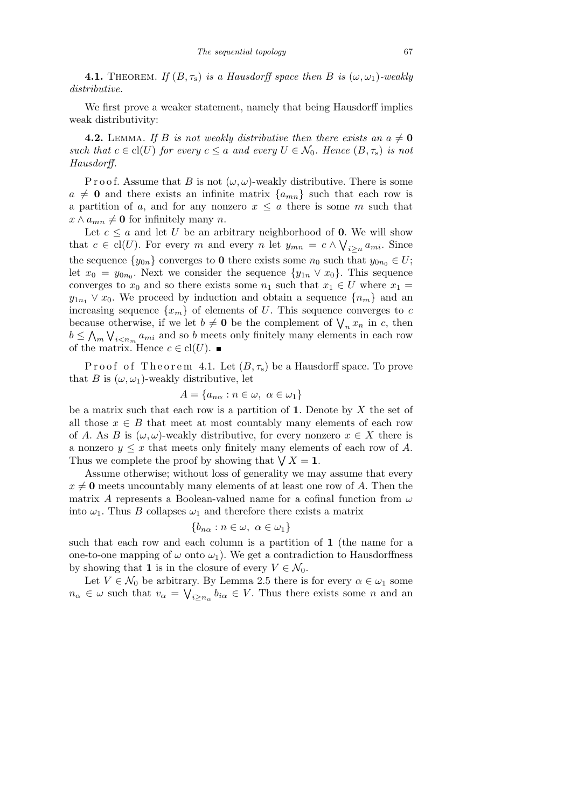**4.1.** THEOREM. *If*  $(B, \tau_s)$  *is a Hausdorff space then B is*  $(\omega, \omega_1)$ -weakly *distributive.*

We first prove a weaker statement, namely that being Hausdorff implies weak distributivity:

**4.2.** LEMMA. If *B* is not weakly distributive then there exists an  $a \neq 0$ *such that*  $c \in \text{cl}(U)$  *for every*  $c \leq a$  *and every*  $U \in \mathcal{N}_0$ *. Hence*  $(B, \tau_s)$  *is not Hausdorff.*

P r o o f. Assume that *B* is not  $(\omega, \omega)$ -weakly distributive. There is some  $a \neq 0$  and there exists an infinite matrix  $\{a_{mn}\}\$  such that each row is a partition of *a*, and for any nonzero  $x \leq a$  there is some *m* such that  $x \wedge a_{mn} \neq \mathbf{0}$  for infinitely many *n*.

Let  $c \leq a$  and let *U* be an arbitrary neighborhood of **0**. We will show that  $c \in \text{cl}(U)$ . For every *m* and every *n* let  $y_{mn} = c \wedge \bigvee_{i \geq n} a_{mi}$ . Since the sequence  $\{y_{0n}\}$  converges to **0** there exists some  $n_0$  such that  $y_{0n_0} \in U$ ; let  $x_0 = y_{0n_0}$ . Next we consider the sequence  $\{y_{1n} \vee x_0\}$ . This sequence converges to  $x_0$  and so there exists some  $n_1$  such that  $x_1 \in U$  where  $x_1 =$  $y_{1n_1} \vee x_0$ . We proceed by induction and obtain a sequence  $\{n_m\}$  and an increasing sequence  $\{x_m\}$  of elements of *U*. This sequence converges to *c* because otherwise, if we let  $b \neq 0$  be the complement of  $\bigvee_n x_n$  in *c*, then  $b \leq \bigwedge_m \bigvee_{i \leq n_m} a_{mi}$  and so *b* meets only finitely many elements in each row of the matrix. Hence  $c \in \text{cl}(U)$ .

Proof of Theorem 4.1. Let  $(B, \tau_s)$  be a Hausdorff space. To prove that *B* is  $(\omega, \omega_1)$ -weakly distributive, let

$$
A = \{a_{n\alpha} : n \in \omega, \ \alpha \in \omega_1\}
$$

be a matrix such that each row is a partition of **1**. Denote by *X* the set of all those  $x \in B$  that meet at most countably many elements of each row of *A*. As *B* is  $(\omega, \omega)$ -weakly distributive, for every nonzero  $x \in X$  there is a nonzero  $y \leq x$  that meets only finitely many elements of each row of A. a nonzero  $y \leq x$  that meets only inhtery many element.<br>Thus we complete the proof by showing that  $\bigvee X = 1$ .

Assume otherwise; without loss of generality we may assume that every  $x \neq 0$  meets uncountably many elements of at least one row of *A*. Then the matrix *A* represents a Boolean-valued name for a cofinal function from *ω* into  $\omega_1$ . Thus *B* collapses  $\omega_1$  and therefore there exists a matrix

$$
\{b_{n\alpha}:n\in\omega,\ \alpha\in\omega_1\}
$$

such that each row and each column is a partition of **1** (the name for a one-to-one mapping of  $\omega$  onto  $\omega_1$ ). We get a contradiction to Hausdorffness by showing that **1** is in the closure of every  $V \in \mathcal{N}_0$ .

Let  $V \in \mathcal{N}_0$  be arbitrary. By Lemma 2.5 there is for every  $\alpha \in \omega_1$  some  $n_{\alpha} \in \omega$  such that  $v_{\alpha} = \bigvee_{i \geq n_{\alpha}} b_{i\alpha} \in V$ . Thus there exists some *n* and an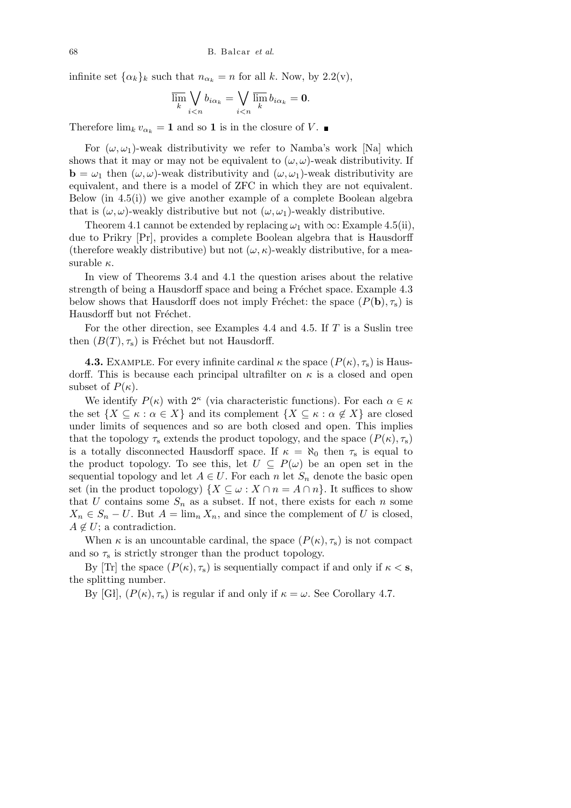infinite set  $\{\alpha_k\}_k$  such that  $n_{\alpha_k} = n$  for all *k*. Now, by 2.2(v),

$$
\overline{\lim}_{k} \bigvee_{i < n} b_{i\alpha_k} = \bigvee_{i < n} \overline{\lim}_{k} b_{i\alpha_k} = \mathbf{0}.
$$

Therefore  $\lim_{k} v_{\alpha_k} = 1$  and so 1 is in the closure of V.

For  $(\omega, \omega_1)$ -weak distributivity we refer to Namba's work [Na] which shows that it may or may not be equivalent to  $(\omega, \omega)$ -weak distributivity. If **b** =  $\omega_1$  then  $(\omega, \omega)$ -weak distributivity and  $(\omega, \omega_1)$ -weak distributivity are equivalent, and there is a model of ZFC in which they are not equivalent. Below (in  $4.5(i)$ ) we give another example of a complete Boolean algebra that is  $(\omega, \omega)$ -weakly distributive but not  $(\omega, \omega_1)$ -weakly distributive.

Theorem 4.1 cannot be extended by replacing  $\omega_1$  with  $\infty$ : Example 4.5(ii), due to Prikry [Pr], provides a complete Boolean algebra that is Hausdorff (therefore weakly distributive) but not  $(\omega, \kappa)$ -weakly distributive, for a measurable *κ*.

In view of Theorems 3.4 and 4.1 the question arises about the relative strength of being a Hausdorff space and being a Fréchet space. Example 4.3 below shows that Hausdorff does not imply Fréchet: the space  $(P(\mathbf{b}), \tau_s)$  is Hausdorff but not Fréchet.

For the other direction, see Examples 4.4 and 4.5. If *T* is a Suslin tree then  $(B(T), \tau_s)$  is Fréchet but not Hausdorff.

**4.3.** EXAMPLE. For every infinite cardinal  $\kappa$  the space  $(P(\kappa), \tau_s)$  is Hausdorff. This is because each principal ultrafilter on  $\kappa$  is a closed and open subset of  $P(\kappa)$ .

We identify  $P(\kappa)$  with  $2^{\kappa}$  (via characteristic functions). For each  $\alpha \in \kappa$ the set  $\{X \subseteq \kappa : \alpha \in X\}$  and its complement  $\{X \subseteq \kappa : \alpha \notin X\}$  are closed under limits of sequences and so are both closed and open. This implies that the topology  $\tau_s$  extends the product topology, and the space  $(P(\kappa), \tau_s)$ is a totally disconnected Hausdorff space. If  $\kappa = \aleph_0$  then  $\tau_s$  is equal to the product topology. To see this, let  $U \subseteq P(\omega)$  be an open set in the sequential topology and let  $A \in U$ . For each *n* let  $S_n$  denote the basic open set (in the product topology)  $\{X \subseteq \omega : X \cap n = A \cap n\}$ . It suffices to show that *U* contains some  $S_n$  as a subset. If not, there exists for each *n* some  $X_n \in S_n - U$ . But  $A = \lim_n X_n$ , and since the complement of *U* is closed,  $A \notin U$ ; a contradiction.

When  $\kappa$  is an uncountable cardinal, the space  $(P(\kappa), \tau_s)$  is not compact and so  $\tau_s$  is strictly stronger than the product topology.

By [Tr] the space  $(P(\kappa), \tau_s)$  is sequentially compact if and only if  $\kappa < s$ , the splitting number.

By [Gł],  $(P(\kappa), \tau_s)$  is regular if and only if  $\kappa = \omega$ . See Corollary 4.7.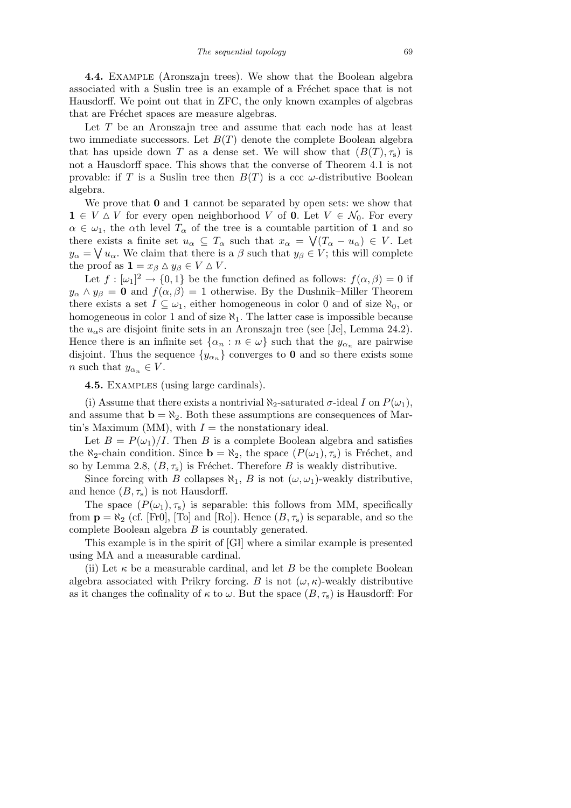**4.4.** Example (Aronszajn trees). We show that the Boolean algebra associated with a Suslin tree is an example of a Fréchet space that is not Hausdorff. We point out that in ZFC, the only known examples of algebras that are Fréchet spaces are measure algebras.

Let *T* be an Aronszajn tree and assume that each node has at least two immediate successors. Let  $B(T)$  denote the complete Boolean algebra that has upside down *T* as a dense set. We will show that  $(B(T), \tau_s)$  is not a Hausdorff space. This shows that the converse of Theorem 4.1 is not provable: if *T* is a Suslin tree then  $B(T)$  is a ccc  $\omega$ -distributive Boolean algebra.

We prove that **0** and **1** cannot be separated by open sets: we show that **1**  $∈$   $V \triangle V$  for every open neighborhood  $V$  of **0**. Let  $V ∈ \mathcal{N}_0$ . For every  $\alpha \in \omega_1$ , the *α*th level  $T_\alpha$  of the tree is a countable partition of **1** and so there exists a finite set  $u_{\alpha} \subseteq T_{\alpha}$  such that  $x_{\alpha} = \sqrt{(T_{\alpha} - u_{\alpha})} \in V$ . Let  $y_{\alpha} = \bigvee u_{\alpha}$ . We claim that there is a  $\beta$  such that  $y_{\beta} \in V$ ; this will complete the proof as  $\mathbf{1} = x_{\beta} \wedge y_{\beta} \in V \wedge V$ .

Let  $f : [\omega_1]^2 \to \{0,1\}$  be the function defined as follows:  $f(\alpha, \beta) = 0$  if  $y_{\alpha} \wedge y_{\beta} = 0$  and  $f(\alpha, \beta) = 1$  otherwise. By the Dushnik–Miller Theorem there exists a set  $I \subseteq \omega_1$ , either homogeneous in color 0 and of size  $\aleph_0$ , or homogeneous in color 1 and of size *ℵ*1. The latter case is impossible because the  $u_{\alpha}$ s are disjoint finite sets in an Aronszajn tree (see [Je], Lemma 24.2). Hence there is an infinite set  $\{\alpha_n : n \in \omega\}$  such that the  $y_{\alpha_n}$  are pairwise disjoint. Thus the sequence  $\{y_{\alpha_n}\}$  converges to **0** and so there exists some *n* such that  $y_{\alpha_n} \in V$ .

**4.5.** Examples (using large cardinals).

(i) Assume that there exists a nontrivial  $\aleph_2$ -saturated  $\sigma$ -ideal *I* on  $P(\omega_1)$ , and assume that  $\mathbf{b} = \aleph_2$ . Both these assumptions are consequences of Martin's Maximum (MM), with  $I =$  the nonstationary ideal.

Let  $B = P(\omega_1)/I$ . Then *B* is a complete Boolean algebra and satisfies the  $\aleph_2$ -chain condition. Since  $\mathbf{b} = \aleph_2$ , the space  $(P(\omega_1), \tau_s)$  is Fréchet, and so by Lemma 2.8,  $(B, \tau_s)$  is Fréchet. Therefore *B* is weakly distributive.

Since forcing with *B* collapses  $\aleph_1$ , *B* is not  $(\omega, \omega_1)$ -weakly distributive, and hence  $(B, \tau_s)$  is not Hausdorff.

The space  $(P(\omega_1), \tau_s)$  is separable: this follows from MM, specifically from  $\mathbf{p} = \aleph_2$  (cf. [Fr0], [To] and [Ro]). Hence  $(B, \tau_s)$  is separable, and so the complete Boolean algebra *B* is countably generated.

This example is in the spirit of [Gł] where a similar example is presented using MA and a measurable cardinal.

(ii) Let  $\kappa$  be a measurable cardinal, and let *B* be the complete Boolean algebra associated with Prikry forcing. *B* is not  $(\omega, \kappa)$ -weakly distributive as it changes the cofinality of  $\kappa$  to  $\omega$ . But the space  $(B, \tau_s)$  is Hausdorff: For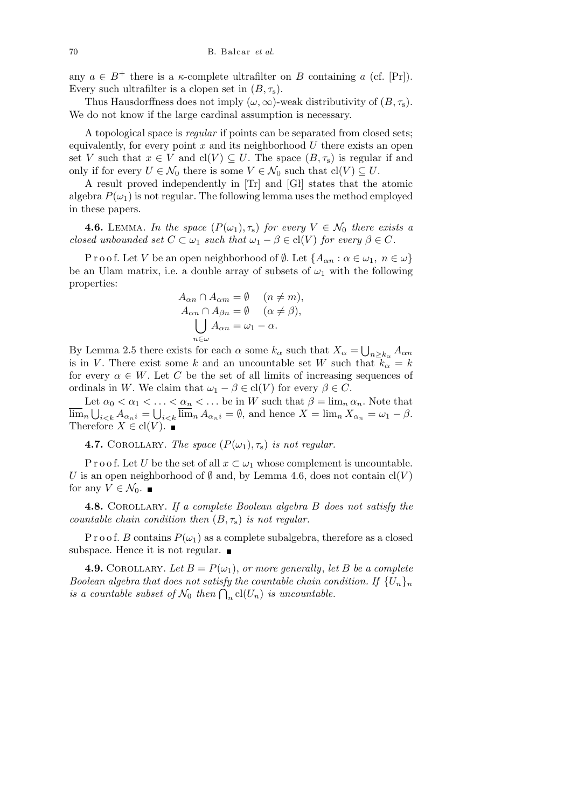any  $a \in B^+$  there is a *κ*-complete ultrafilter on *B* containing *a* (cf. [Pr]). Every such ultrafilter is a clopen set in  $(B, \tau_s)$ .

Thus Hausdorffness does not imply  $(\omega, \infty)$ -weak distributivity of  $(B, \tau_s)$ . We do not know if the large cardinal assumption is necessary.

A topological space is *regular* if points can be separated from closed sets; equivalently, for every point *x* and its neighborhood *U* there exists an open set *V* such that  $x \in V$  and  $cl(V) \subseteq U$ . The space  $(B, \tau_s)$  is regular if and only if for every  $U \in \mathcal{N}_0$  there is some  $V \in \mathcal{N}_0$  such that  $\text{cl}(V) ⊆ U$ .

A result proved independently in [Tr] and [Gł] states that the atomic algebra  $P(\omega_1)$  is not regular. The following lemma uses the method employed in these papers.

**4.6.** LEMMA. *In the space*  $(P(\omega_1), \tau_s)$  *for every*  $V \in \mathcal{N}_0$  *there exists a closed unbounded set*  $C \subset \omega_1$  *such that*  $\omega_1 - \beta \in \text{cl}(V)$  *for every*  $\beta \in C$ *.* 

Proof. Let *V* be an open neighborhood of  $\emptyset$ . Let  $\{A_{\alpha n} : \alpha \in \omega_1, n \in \omega\}$ be an Ulam matrix, i.e. a double array of subsets of  $\omega_1$  with the following properties:

$$
A_{\alpha n} \cap A_{\alpha m} = \emptyset \quad (n \neq m),
$$
  
\n
$$
A_{\alpha n} \cap A_{\beta n} = \emptyset \quad (\alpha \neq \beta),
$$
  
\n
$$
\bigcup_{n \in \omega} A_{\alpha n} = \omega_1 - \alpha.
$$

By Lemma 2.5 there exists for each  $\alpha$  some  $k_{\alpha}$  such that  $X_{\alpha} =$ S  $n ≥ k_α$  *Aαn* is in *V*. There exist some *k* and an uncountable set *W* such that  $k_{\alpha} = k$ for every  $\alpha \in W$ . Let *C* be the set of all limits of increasing sequences of ordinals in *W*. We claim that  $\omega_1 - \beta \in \text{cl}(V)$  for every  $\beta \in C$ .

Let  $\alpha_0 < \alpha_1 < \ldots < \alpha_n < \ldots$  be in W such that  $\beta = \lim_n \alpha_n$ . Note that  $\lim_{n}$   $\bigcup_{i \leq k}$   $A_{\alpha_{n}}i = \bigcup_{i \leq k} \lim_{n}$   $A_{\alpha_{n}}i = \emptyset$ , and hence  $X = \lim_{n} X_{\alpha_{n}} = \omega_{1} - \beta$ . Therefore  $X \in \text{cl}(V)$ .

**4.7.** COROLLARY. *The space*  $(P(\omega_1), \tau_s)$  *is not regular.* 

P r o o f. Let *U* be the set of all  $x \subset \omega_1$  whose complement is uncountable. *U* is an open neighborhood of  $\emptyset$  and, by Lemma 4.6, does not contain  $\text{cl}(V)$ for any  $V \in \mathcal{N}_0$ .

**4.8.** Corollary. *If a complete Boolean algebra B does not satisfy the countable chain condition then* (*B, τ*s) *is not regular.*

P r o o f. *B* contains  $P(\omega_1)$  as a complete subalgebra, therefore as a closed subspace. Hence it is not regular.  $\blacksquare$ 

**4.9.** COROLLARY. Let  $B = P(\omega_1)$ , or more generally, let B be a complete *Boolean algebra that does not satisfy the countable chain condition. If*  ${U_n}_n$ *bootean algebra that abes not satisfy the countable chain cor*<br>is a countable subset of  $\mathcal{N}_0$  then  $\bigcap_n \text{cl}(U_n)$  is uncountable.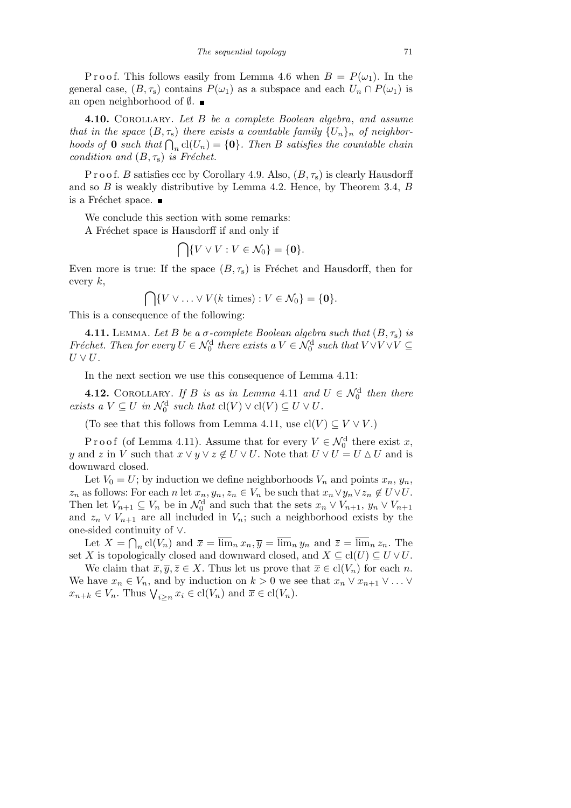P r o o f. This follows easily from Lemma 4.6 when  $B = P(\omega_1)$ . In the general case,  $(B, \tau_s)$  contains  $P(\omega_1)$  as a subspace and each  $U_n \cap P(\omega_1)$  is an open neighborhood of *∅*.

**4.10.** Corollary. *Let B be a complete Boolean algebra*, *and assume that in the space*  $(B, \tau_s)$  *there exists a countable family*  $\{U_n\}_n$  *of neighborhoods of* **0** *such that*  $\bigcap_n cl(U_n) = \{0\}$ *. Then B satisfies the countable chain condition and*  $(B, \tau_s)$  *is Fréchet.* 

P r o o f. *B* satisfies ccc by Corollary 4.9. Also, (*B, τ*s) is clearly Hausdorff and so *B* is weakly distributive by Lemma 4.2. Hence, by Theorem 3.4, *B* is a Fréchet space.  $\blacksquare$ 

We conclude this section with some remarks:

A Fréchet space is Hausdorff if and only if  $\sim$ 

$$
\bigcap \{V \vee V : V \in \mathcal{N}_0\} = \{\mathbf{0}\}.
$$

Even more is true: If the space  $(B, \tau_s)$  is Fréchet and Hausdorff, then for every *<sup>k</sup>*, \

$$
\bigcap \{V \vee \ldots \vee V(k \text{ times}) : V \in \mathcal{N}_0\} = \{\mathbf{0}\}.
$$

This is a consequence of the following:

**4.11.** LEMMA. Let *B* be a *σ*-complete Boolean algebra such that  $(B, \tau_s)$  *is Fréchet. Then for every*  $U \in \mathcal{N}_0^d$  there exists a  $V \in \mathcal{N}_0^d$  such that  $V \vee V \vee V \subseteq$  $U \vee U$ .

In the next section we use this consequence of Lemma 4*.*11:

**4.12.** COROLLARY. If *B is as in Lemma* 4.11 *and*  $U \in \mathcal{N}_0^d$  *then there exists a*  $V \subseteq U$  *in*  $\mathcal{N}_0^d$  *such that*  $cl(V) \vee cl(V) \subseteq U \vee U$ *.* 

(To see that this follows from Lemma 4.11, use  $\text{cl}(V) \subseteq V \vee V$ .)

Proof (of Lemma 4.11). Assume that for every  $V \in \mathcal{N}_0^d$  there exist *x*, *y* and *z* in *V* such that  $x \lor y \lor z \notin U \lor U$ . Note that  $U \lor U = U \land U$  and is downward closed.

Let  $V_0 = U$ ; by induction we define neighborhoods  $V_n$  and points  $x_n, y_n$ ,  $z_n$  as follows: For each n let  $x_n, y_n, z_n \in V_n$  be such that  $x_n \vee y_n \vee z_n \notin U \vee U$ . Then let  $V_{n+1} \subseteq V_n$  be in  $\mathcal{N}_0^d$  and such that the sets  $x_n \vee V_{n+1}$ ,  $y_n \vee V_{n+1}$ and  $z_n \vee V_{n+1}$  are all included in  $V_n$ ; such a neighborhood exists by the one-sided continuity of *∨*. T

Let  $X = \bigcap_n \text{cl}(V_n)$  and  $\overline{x} = \overline{\lim}_n x_n, \overline{y} = \overline{\lim}_n y_n$  and  $\overline{z} = \overline{\lim}_n z_n$ . The set *X* is topologically closed and downward closed, and  $X \subseteq cl(U) \subseteq U \vee U$ .

We claim that  $\overline{x}, \overline{y}, \overline{z} \in X$ . Thus let us prove that  $\overline{x} \in \text{cl}(V_n)$  for each *n*. We have  $x_n \in V_n$ , and by induction on  $k > 0$  we see that  $x_n \vee x_{n+1} \vee \ldots \vee x_n$ *x*<sub>n+k</sub>  $\in$  *V<sub>n</sub>*. Thus  $\bigvee_{i \geq n} x_i \in \text{cl}(V_n)$  and  $\overline{x} \in \text{cl}(V_n)$ .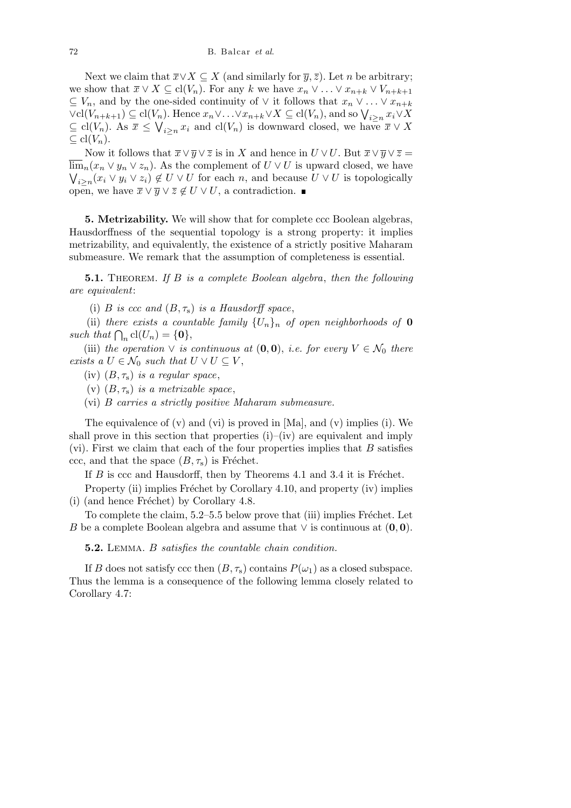Next we claim that  $\overline{x}$ *∨X*  $\subseteq$  *X* (and similarly for  $\overline{y}$ ,  $\overline{z}$ ). Let *n* be arbitrary; we show that  $\overline{x} \vee X \subseteq \text{cl}(V_n)$ . For any *k* we have  $x_n \vee \ldots \vee x_{n+k} \vee V_{n+k+1}$  $\subseteq$  *V<sub>n</sub>*, and by the one-sided continuity of  $\vee$  it follows that *x<sub>n</sub>*  $\vee$  *. .* .  $\vee$  *x<sub>n+k</sub>*  $\subseteq V_n$ , and by the one-sided continuity of  $\vee$  it follows that  $x_n \vee \dots \vee x_{n+k}$ <br> $\vee$ cl $(V_{n+k+1}) \subseteq cl(V_n)$ . Hence  $x_n \vee \dots \vee x_{n+k} \vee X \subseteq cl(V_n)$ , and so  $\bigvee_{i \geq n} x_i \vee X$  $\subseteq$  cl(*V<sub>n</sub>*). As  $\overline{x} \leq \bigvee_{i \geq n} x_i$  and cl(*V<sub>n</sub>*) is downward closed, we have  $\overline{x} \vee X$ *⊆* cl(*Vn*).

Now it follows that  $\overline{x} \vee \overline{y} \vee \overline{z}$  is in *X* and hence in  $U \vee U$ . But  $\overline{x} \vee \overline{y} \vee \overline{z} =$  $\lim_{n \to \infty} (x_n \vee y_n \vee z_n)$ . As the complement of  $U \vee U$  is upward closed, we have  $i \geq n$ (*x*<sub>*i*</sub>  $\vee$  *y*<sub>*i*</sub>  $\vee$  *z*<sub>*i*</sub>)  $\notin U$   $\vee$  *U* for each *n*, and because  $U \vee U$  is topologically open, we have  $\overline{x} \lor \overline{y} \lor \overline{z} \notin U \lor U$ , a contradiction. ■

**5. Metrizability.** We will show that for complete ccc Boolean algebras, Hausdorffness of the sequential topology is a strong property: it implies metrizability, and equivalently, the existence of a strictly positive Maharam submeasure. We remark that the assumption of completeness is essential.

**5.1.** Theorem. *If B is a complete Boolean algebra*, *then the following are equivalent*:

(i) *B is ccc and*  $(B, \tau_s)$  *is a Hausdorff space*,

(ii) *there exists a countable family*  $\{U_n\}_n$  *of open neighborhoods of* **0** *such that*  $\bigcap_n \text{cl}(U_n) = \{\mathbf{0}\},\$ 

(iii) *the operation*  $\vee$  *is continuous at*  $(0,0)$ *, i.e. for every*  $V \in \mathcal{N}_0$  *there exists a*  $U \in \mathcal{N}_0$  *such that*  $U \vee U \subseteq V$ ,

(iv)  $(B, \tau_s)$  *is a regular space*,

(v)  $(B, \tau_s)$  *is a metrizable space*,

(vi) *B carries a strictly positive Maharam submeasure.*

The equivalence of  $(v)$  and  $(vi)$  is proved in [Ma], and  $(v)$  implies (i). We shall prove in this section that properties  $(i)$ –(iv) are equivalent and imply (vi). First we claim that each of the four properties implies that *B* satisfies ccc, and that the space  $(B, \tau_s)$  is Fréchet.

If  $B$  is ccc and Hausdorff, then by Theorems 4.1 and 3.4 it is Fréchet.

Property (ii) implies Fréchet by Corollary 4.10, and property (iv) implies (i) (and hence Fréchet) by Corollary  $4.8$ .

To complete the claim,  $5.2-5.5$  below prove that (iii) implies Fréchet. Let *B* be a complete Boolean algebra and assume that *∨* is continuous at (**0***,* **0**).

**5.2.** Lemma. *B satisfies the countable chain condition.*

If *B* does not satisfy ccc then  $(B, \tau_s)$  contains  $P(\omega_1)$  as a closed subspace. Thus the lemma is a consequence of the following lemma closely related to Corollary 4.7: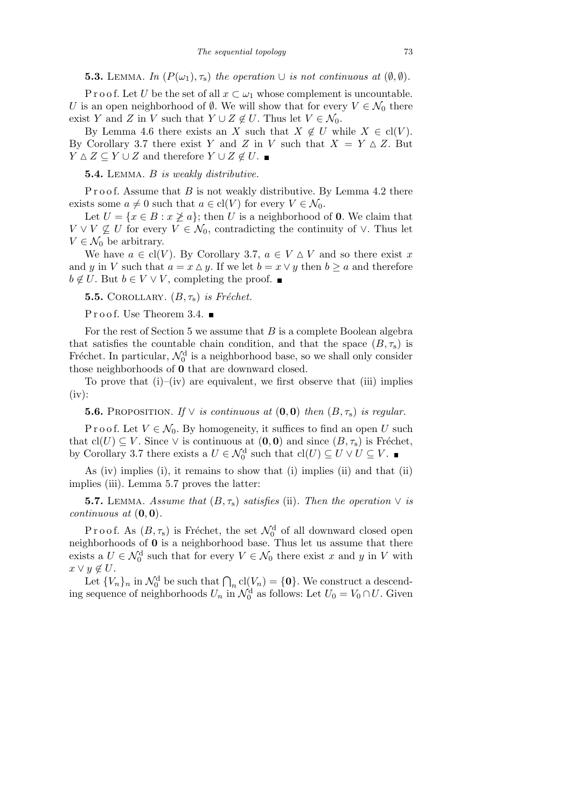**5.3.** LEMMA. *In*  $(P(\omega_1), \tau_s)$  *the operation*  $\cup$  *is not continuous at*  $(\emptyset, \emptyset)$ *.* 

P r o o f. Let *U* be the set of all  $x \subset \omega_1$  whose complement is uncountable. *U* is an open neighborhood of  $\emptyset$ . We will show that for every  $V \in \mathcal{N}_0$  there exist *Y* and *Z* in *V* such that  $Y \cup Z \notin U$ . Thus let  $V \in \mathcal{N}_0$ .

By Lemma 4.6 there exists an *X* such that  $X \notin U$  while  $X \in cl(V)$ . By Corollary 3.7 there exist *Y* and *Z* in *V* such that  $X = Y \triangle Z$ . But *Y* ∆ *Z*  $\subset$  *Y*  $\cup$  *Z* and therefore *Y*  $\cup$  *Z*  $\notin$  *U*. ■

**5.4.** Lemma. *B is weakly distributive.*

P r o o f. Assume that *B* is not weakly distributive. By Lemma 4.2 there exists some  $a \neq 0$  such that  $a \in \text{cl}(V)$  for every  $V \in \mathcal{N}_0$ .

Let  $U = \{x \in B : x \not\geq a\}$ ; then *U* is a neighborhood of **0**. We claim that  $V \vee V \nsubseteq U$  for every  $V \in \mathcal{N}_0$ , contradicting the continuity of  $\vee$ . Thus let  $V \in \mathcal{N}_0$  be arbitrary.

We have  $a \in \text{cl}(V)$ . By Corollary 3.7,  $a \in V \triangle V$  and so there exist x and *y* in *V* such that  $a = x \Delta y$ . If we let  $b = x \vee y$  then  $b \ge a$  and therefore *b*  $\notin U$ . But *b* ∈ *V*  $\vee$  *V*, completing the proof.  $\blacksquare$ 

**5.5.** COROLLARY.  $(B, \tau_s)$  *is Fréchet.* 

Proof. Use Theorem 3.4.  $\blacksquare$ 

For the rest of Section 5 we assume that *B* is a complete Boolean algebra that satisfies the countable chain condition, and that the space  $(B, \tau_s)$  is Fréchet. In particular,  $\mathcal{N}_0^d$  is a neighborhood base, so we shall only consider those neighborhoods of **0** that are downward closed.

To prove that  $(i)$ – $(iv)$  are equivalent, we first observe that  $(iii)$  implies  $(iv):$ 

**5.6.** PROPOSITION. *If*  $\vee$  *is continuous at*  $(\mathbf{0}, \mathbf{0})$  *then*  $(B, \tau_s)$  *is regular.* 

P r o o f. Let  $V \in \mathcal{N}_0$ . By homogeneity, it suffices to find an open *U* such that  $cl(U) ⊆ V$ . Since  $∨$  is continuous at  $(0,0)$  and since  $(B, \tau_s)$  is Fréchet, by Corollary 3.7 there exists a  $U \in \mathcal{N}_0^d$  such that  $\text{cl}(U) \subseteq U \vee U \subseteq V$ .

As (iv) implies (i), it remains to show that (i) implies (ii) and that (ii) implies (iii). Lemma 5.7 proves the latter:

**5.7.** LEMMA. Assume that  $(B, \tau_s)$  satisfies (ii). Then the operation  $\vee$  is *continuous at* (**0***,* **0**)*.*

P r o o f. As  $(B, \tau_s)$  is Fréchet, the set  $\mathcal{N}_0^d$  of all downward closed open neighborhoods of **0** is a neighborhood base. Thus let us assume that there exists a  $U \in \mathcal{N}_0^d$  such that for every  $V \in \mathcal{N}_0$  there exist *x* and *y* in *V* with *x*  $\vee$  *y* ∉ *U*.

Let  $\{V_n\}_n$  in  $\mathcal{N}_0^d$  be such that  $\bigcap_n cl(V_n) = \{0\}$ . We construct a descending sequence of neighborhoods  $U_n$  in  $\mathcal{N}_0^d$  as follows: Let  $U_0 = V_0 \cap U$ . Given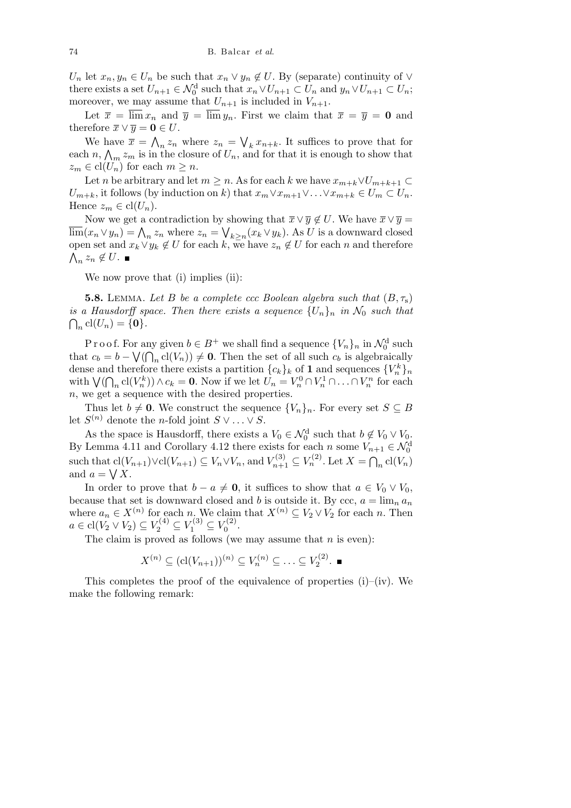$U_n$  let  $x_n, y_n \in U_n$  be such that  $x_n \vee y_n \notin U$ . By (separate) continuity of  $\vee$ there exists a set  $U_{n+1} \in \mathcal{N}_0^d$  such that  $x_n \vee U_{n+1} \subset U_n$  and  $y_n \vee U_{n+1} \subset U_n$ ; moreover, we may assume that  $U_{n+1}$  is included in  $V_{n+1}$ .

Let  $\bar{x} = \overline{\lim} x_n$  and  $\bar{y} = \overline{\lim} y_n$ . First we claim that  $\bar{x} = \bar{y} = \mathbf{0}$  and therefore  $\overline{x} \vee \overline{y} = 0 \in U$ .  $\mathbf{v}$  $\ddot{\phantom{0}}$ 

We have  $\bar{x} =$  $z_n$ <sup>*z*<sub>*n*</sub></sub> where  $z_n$  =</sup> have  $\bar{x} = \bigwedge_n z_n$  where  $z_n = \bigvee_k x_{n+k}$ . It suffices to prove that for each *n*,  $\bigwedge_m z_m$  is in the closure of  $U_n$ , and for that it is enough to show that  $z_m \in \text{cl}(U_n)$  for each  $m \geq n$ .

Let *n* be arbitrary and let  $m \geq n$ . As for each *k* we have  $x_{m+k} \vee U_{m+k+1} \subset$ *U*<sub>*m*+*k*</sub>, it follows (by induction on *k*) that  $x_m \vee x_{m+1} \vee \ldots \vee x_{m+k} \in U_m \subset U_n$ . Hence  $z_m \in \text{cl}(U_n)$ .

Now we get a contradiction by showing that  $\overline{x} \vee \overline{y} \notin U$ . We have  $\overline{x} \vee \overline{y} =$ lim( $x_n \vee y_n$ ) =  $\bigwedge_n z_n$  where  $z_n = \bigvee_{k \geq n} (x_k \vee y_k)$ . As *U* is a downward closed open set and  $x_k \vee y_k \notin U$  for each  $k$ , we have  $z_n \notin U$  for each  $n$  and therefore  $z_n \not\in U$ .

We now prove that (i) implies (ii):

**5.8.** LEMMA. Let *B* be a complete ccc Boolean algebra such that  $(B, \tau_s)$ *is a Hausdorff space. Then there exists a sequence*  $\{U_n\}_n$  *in*  $\mathcal{N}_0$  *such that*  $_{n}$  cl( $U_{n}$ ) = {**0**}*.* 

P r o o f. For any given  $b \in B^+$  we shall find a sequence  $\{V_n\}_n$  in  $\mathcal{N}_0^d$  such that  $c_b = b - \sqrt{\left(\bigcap_n \text{cl}(V_n)\right)} \neq 0$ . Then the set of all such  $c_b$  is algebraically dense and therefore there exists a partition  $\{c_k\}_k$  of **1** and sequences  $\{V_n^k\}_n$ dense and therefore there exists a partition  $\{c_k\}_k$  of **1** and sequences  $\{V_n\}_n$ <br>with  $\bigvee(\bigcap_n \text{cl}(V_n^k)) \wedge c_k = \mathbf{0}$ . Now if we let  $U_n = V_n^0 \cap V_n^1 \cap \ldots \cap V_n^n$  for each *n*, we get a sequence with the desired properties.

Thus let  $b \neq 0$ . We construct the sequence  $\{V_n\}_n$ . For every set  $S \subseteq B$ let  $S^{(n)}$  denote the *n*-fold joint  $S \vee \ldots \vee S$ .

As the space is Hausdorff, there exists a  $V_0 \in \mathcal{N}_0^d$  such that  $b \notin V_0 \vee V_0$ . By Lemma 4.11 and Corollary 4.12 there exists for each *n* some  $V_{n+1} \in \mathcal{N}_0^d$ such that  $\text{cl}(V_{n+1}) \lor \text{cl}(V_{n+1}) \subseteq V_n \lor V_n$ , and  $V_{n+1}^{(3)} \subseteq V_n^{(2)}$ . Let *X* =  $\overline{\mathcal{L}}$  $\mathcal{L} \text{cl}(V_{n+1}) \vee \text{cl}(V_{n+1}) \subseteq V_n \vee V_n$ , and  $V_{n+1}^{(3)} \subseteq V_n^{(2)}$ . Let  $X = \bigcap_n \text{cl}(V_n)$ and  $a = \bigvee X$ .

In order to prove that  $b - a \neq 0$ , it suffices to show that  $a \in V_0 \vee V_0$ , because that set is downward closed and *b* is outside it. By ccc,  $a = \lim_{n} a_n$ where  $a_n \in X^{(n)}$  for each  $n$ . We claim that  $X^{(n)} \subseteq V_2 \vee V_2$  for each  $n$ . Then  $a \in \text{cl}(V_2 \vee V_2) \subseteq V_2^{(4)} \subseteq V_1^{(3)} \subseteq V_0^{(2)}$  $0^{(2)}$ .

The claim is proved as follows (we may assume that *n* is even):

$$
X^{(n)} \subseteq (\text{cl}(V_{n+1}))^{(n)} \subseteq V_n^{(n)} \subseteq \ldots \subseteq V_2^{(2)}.
$$

This completes the proof of the equivalence of properties  $(i)$ – $(iv)$ . We make the following remark: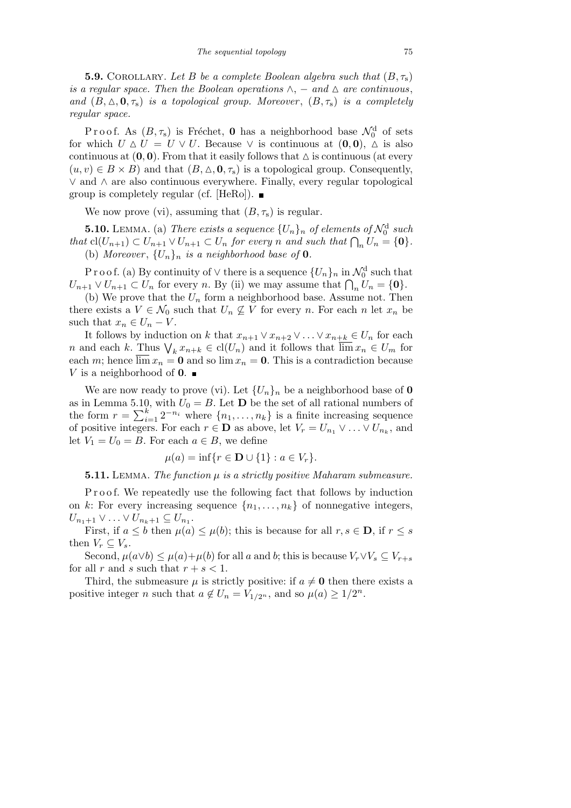**5.9.** COROLLARY. Let *B* be a complete Boolean algebra such that  $(B, \tau_s)$ *is a regular space. Then the Boolean operations*  $\wedge$ ,  $-$  *and*  $\triangle$  *are continuous*, *and*  $(B, \Delta, \mathbf{0}, \tau_s)$  *is a topological group. Moreover*,  $(B, \tau_s)$  *is a completely regular space.*

P r o o f. As  $(B, \tau_s)$  is Fréchet, **0** has a neighborhood base  $\mathcal{N}_0^d$  of sets for which  $U \Delta U = U \vee U$ . Because  $\vee$  is continuous at  $(0,0)$ ,  $\Delta$  is also continuous at  $(0,0)$ . From that it easily follows that  $\Delta$  is continuous (at every  $(u, v) \in B \times B$ ) and that  $(B, \Delta, \mathbf{0}, \tau_s)$  is a topological group. Consequently, *∨* and *∧* are also continuous everywhere. Finally, every regular topological group is completely regular (cf. [HeRo]).  $\blacksquare$ 

We now prove (vi), assuming that  $(B, \tau_s)$  is regular.

**5.10.** LEMMA. (a) *There exists a sequence*  $\{U_n\}_n$  *of elements of*  $\mathcal{N}_0^{\text{d}}$  *such* **3.10.** LEMMA. (a) There exists a sequence  $\{U_n\}_n$  of elements of  $N_0^{\infty}$  such that  $\text{cl}(U_{n+1}) \subset U_{n+1} \vee U_{n+1} \subset U_n$  for every n and such that  $\bigcap_n U_n = \{0\}.$ (b) *Moreover*,  ${U_n}_n$  *is a neighborhood base of* **0***.* 

P r o o f. (a) By continuity of  $\vee$  there is a sequence  $\{U_n\}_n$  in  $\mathcal{N}_0^d$  such that *V*<sub>*n*+1</sub>  $\vee U_{n+1} \subset U_n$  for every *n*. By (ii) we may assume that  $\bigcap_n U_n = \{0\}$ .

(b) We prove that the  $U_n$  form a neighborhood base. Assume not. Then there exists a  $V \in \mathcal{N}_0$  such that  $U_n \nsubseteq V$  for every *n*. For each *n* let  $x_n$  be such that  $x_n \in U_n - V$ .

It follows by induction on *k* that  $x_{n+1} \vee x_{n+2} \vee \ldots \vee x_{n+k} \in U_n$  for each *n* and each *k*. Thus  $\bigvee_k x_{n+k} \in cl(U_n)$  and it follows that  $\overline{\lim} x_n \in U_m$  for  $n$ each *m*; hence  $\overline{\lim} x_n = 0$  and so  $\lim x_n = 0$ . This is a contradiction because *V* is a neighborhood of **0**.  $\blacksquare$ 

We are now ready to prove (vi). Let  ${U_n}_n$  be a neighborhood base of **0** as in Lemma 5.10, with  $U_0 = B$ . Let **D** be the set of all rational numbers of as in Lemma 5.10<br>the form  $r = \sum_{i=1}^{k}$  $\binom{k}{i=1}$  2<sup>-*n*<sub>i</sub></sup> where  $\{n_1, \ldots, n_k\}$  is a finite increasing sequence of positive integers. For each  $r \in \mathbf{D}$  as above, let  $V_r = U_{n_1} \vee \ldots \vee U_{n_k}$ , and let  $V_1 = U_0 = B$ . For each  $a \in B$ , we define

$$
\mu(a) = \inf\{r \in \mathbf{D} \cup \{1\} : a \in V_r\}.
$$

**5.11.** Lemma. *The function µ is a strictly positive Maharam submeasure.*

P r o o f. We repeatedly use the following fact that follows by induction on *k*: For every increasing sequence  $\{n_1, \ldots, n_k\}$  of nonnegative integers,  $U_{n_1+1} \vee \ldots \vee U_{n_k+1} \subseteq U_{n_1}.$ 

First, if  $a \leq b$  then  $\mu(a) \leq \mu(b)$ ; this is because for all  $r, s \in \mathbf{D}$ , if  $r \leq s$ then  $V_r \subseteq V_s$ .

Second,  $\mu(a \vee b) \leq \mu(a) + \mu(b)$  for all *a* and *b*; this is because  $V_r \vee V_s \subseteq V_{r+s}$ for all *r* and *s* such that  $r + s < 1$ .

Third, the submeasure  $\mu$  is strictly positive: if  $a \neq 0$  then there exists a positive integer *n* such that  $a \notin U_n = V_{1/2^n}$ , and so  $\mu(a) \geq 1/2^n$ .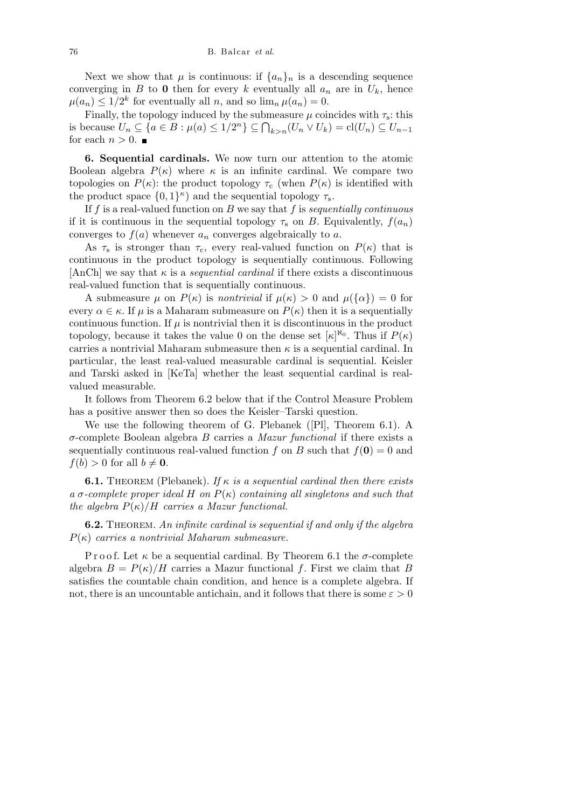Next we show that  $\mu$  is continuous: if  $\{a_n\}_n$  is a descending sequence converging in *B* to **0** then for every *k* eventually all  $a_n$  are in  $U_k$ , hence  $\mu(a_n) \leq 1/2^k$  for eventually all *n*, and so  $\lim_n \mu(a_n) = 0$ .

Finally, the topology induced by the submeasure  $\mu$  coincides with  $\tau_s$ : this Finally, the topology induced by the submeasure  $\mu$  coincludes with  $\tau_s$ : this<br>is because  $U_n \subseteq \{a \in B : \mu(a) \leq 1/2^n\} \subseteq \bigcap_{k>n} (U_n \vee U_k) = \text{cl}(U_n) \subseteq U_{n-1}$ for each  $n > 0$ .

**6. Sequential cardinals.** We now turn our attention to the atomic Boolean algebra  $P(\kappa)$  where  $\kappa$  is an infinite cardinal. We compare two topologies on  $P(\kappa)$ : the product topology  $\tau_c$  (when  $P(\kappa)$  is identified with the product space  $\{0,1\}^{\kappa}$  and the sequential topology  $\tau_s$ .

If *f* is a real-valued function on *B* we say that *f* is *sequentially continuous* if it is continuous in the sequential topology  $\tau_s$  on *B*. Equivalently,  $f(a_n)$ converges to  $f(a)$  whenever  $a_n$  converges algebraically to  $a$ .

As  $\tau_s$  is stronger than  $\tau_c$ , every real-valued function on  $P(\kappa)$  that is continuous in the product topology is sequentially continuous. Following  $[AnCh]$  we say that  $\kappa$  is a *sequential cardinal* if there exists a discontinuous real-valued function that is sequentially continuous.

A submeasure  $\mu$  on  $P(\kappa)$  is *nontrivial* if  $\mu(\kappa) > 0$  and  $\mu({\alpha}) = 0$  for every  $\alpha \in \kappa$ . If  $\mu$  is a Maharam submeasure on  $P(\kappa)$  then it is a sequentially continuous function. If  $\mu$  is nontrivial then it is discontinuous in the product topology, because it takes the value 0 on the dense set  $[\kappa]^{\aleph_0}$ . Thus if  $P(\kappa)$ carries a nontrivial Maharam submeasure then  $\kappa$  is a sequential cardinal. In particular, the least real-valued measurable cardinal is sequential. Keisler and Tarski asked in [KeTa] whether the least sequential cardinal is realvalued measurable.

It follows from Theorem 6.2 below that if the Control Measure Problem has a positive answer then so does the Keisler–Tarski question.

We use the following theorem of G. Plebanek ([Pl], Theorem 6.1). A *σ*-complete Boolean algebra *B* carries a *Mazur functional* if there exists a sequentially continuous real-valued function *f* on *B* such that  $f(\mathbf{0}) = 0$  and  $f(b) > 0$  for all  $b \neq 0$ .

**6.1.** THEOREM (Plebanek). *If*  $\kappa$  *is a sequential cardinal then there exists*  $a \sigma$ -complete proper ideal  $H$  on  $P(\kappa)$  containing all singletons and such that *the algebra*  $P(\kappa)/H$  *carries a Mazur functional.* 

**6.2.** Theorem. *An infinite cardinal is sequential if and only if the algebra P*(*κ*) *carries a nontrivial Maharam submeasure.*

P r o o f. Let  $\kappa$  be a sequential cardinal. By Theorem 6.1 the  $\sigma$ -complete algebra  $B = P(\kappa)/H$  carries a Mazur functional f. First we claim that B satisfies the countable chain condition, and hence is a complete algebra. If not, there is an uncountable antichain, and it follows that there is some  $\varepsilon > 0$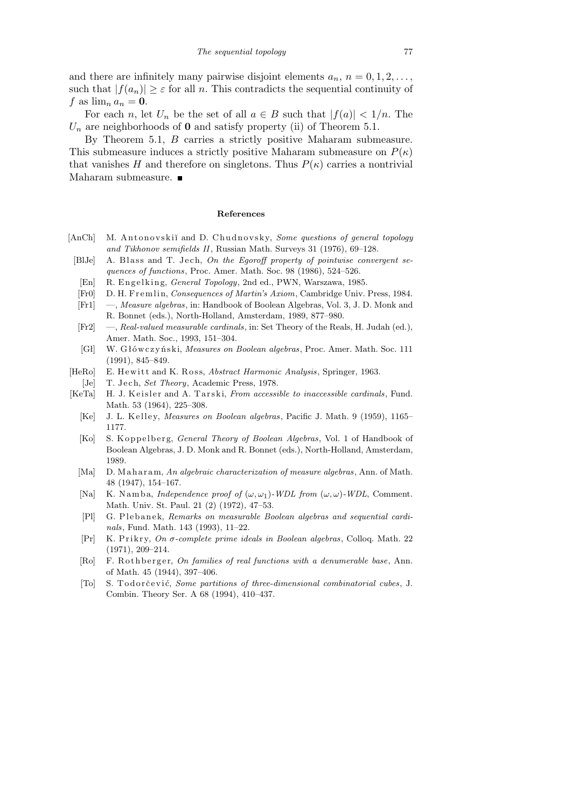and there are infinitely many pairwise disjoint elements  $a_n$ ,  $n = 0, 1, 2, \ldots$ , such that  $|f(a_n)| \geq \varepsilon$  for all *n*. This contradicts the sequential continuity of  $f$  as  $\lim_{n} a_n = 0$ .

For each *n*, let  $U_n$  be the set of all  $a \in B$  such that  $|f(a)| < 1/n$ . The  $U_n$  are neighborhoods of **0** and satisfy property (ii) of Theorem 5.1.

By Theorem 5.1, *B* carries a strictly positive Maharam submeasure. This submeasure induces a strictly positive Maharam submeasure on  $P(\kappa)$ that vanishes *H* and therefore on singletons. Thus  $P(\kappa)$  carries a nontrivial Maharam submeasure.  $\blacksquare$ 

## **References**

- [AnCh] M. Antonovskiĭ and D. Chudnovsky, *Some questions of general topology and Tikhonov semifields II*, Russian Math. Surveys 31 (1976), 69–128.
- [BlJe] A. Blass and T. Jech, *On the Egoroff property of pointwise convergent sequences of functions*, Proc. Amer. Math. Soc. 98 (1986), 524–526.
- [En] R. Engelking, *General Topology*, 2nd ed., PWN, Warszawa, 1985.
- [Fr0] D. H. F r emli n, *Consequences of Martin's Axiom*, Cambridge Univ. Press, 1984.
- [Fr1] —, *Measure algebras*, in: Handbook of Boolean Algebras, Vol. 3, J. D. Monk and R. Bonnet (eds.), North-Holland, Amsterdam, 1989, 877–980.
- [Fr2] —, *Real-valued measurable cardinals*, in: Set Theory of the Reals, H. Judah (ed.), Amer. Math. Soc., 1993, 151–304.
- [Gł] W. G ł ów c z y ń s ki, *Measures on Boolean algebras*, Proc. Amer. Math. Soc. 111 (1991), 845–849.
- [HeRo] E. Hewitt and K. Ross, *Abstract Harmonic Analysis*, Springer, 1963. [Je] T. Jech, *Set Theory*, Academic Press, 1978.
- [KeTa] H. J. Keisler and A. Tarski, *From accessible to inaccessible cardinals*, Fund. Math. 53 (1964), 225–308.
	- [Ke] J. L. K ell e y, *Measures on Boolean algebras*, Pacific J. Math. 9 (1959), 1165– 1177.
	- [Ko] S. K oppelberg, *General Theory of Boolean Algebras*, Vol. 1 of Handbook of Boolean Algebras, J. D. Monk and R. Bonnet (eds.), North-Holland, Amsterdam, 1989.
	- [Ma] D. Maharam, An algebraic characterization of measure algebras, Ann. of Math. 48 (1947), 154–167.
	- [Na] K. N am b a, *Independence proof of*  $(\omega, \omega_1)$ *-WDL from*  $(\omega, \omega)$ *-WDL*, Comment. Math. Univ. St. Paul. 21 (2) (1972), 47–53.
	- [Pl] G. Plebanek, *Remarks on measurable Boolean algebras and sequential cardinals*, Fund. Math. 143 (1993), 11–22.
	- [Pr] K. P ri k r y, *On σ-complete prime ideals in Boolean algebras*, Colloq. Math. 22 (1971), 209–214.
	- [Ro] F. Rothberger, *On families of real functions with a denumerable base*, Ann. of Math. 45 (1944), 397–406.
	- [To] S. Todorčević, *Some partitions of three-dimensional combinatorial cubes*, J. Combin. Theory Ser. A 68 (1994), 410–437.